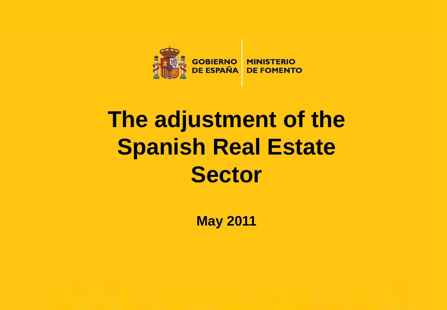

# **The adjustment of the Spanish Real Estate Sector**

**May 2011**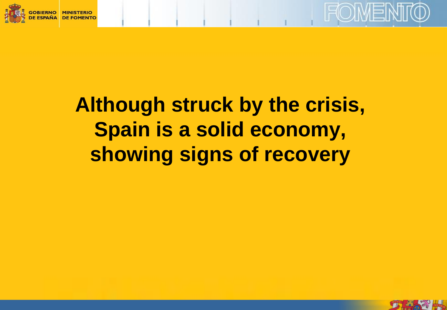



# **Although struck by the crisis, Spain is a solid economy, showing signs of recovery**

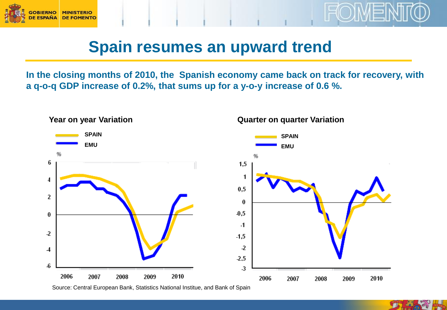



#### **Spain resumes an upward trend**

**In the closing months of 2010, the Spanish economy came back on track for recovery, with a q-o-q GDP increase of 0.2%, that sums up for a y-o-y increase of 0.6 %.** 



Source: Central European Bank, Statistics National Institue, and Bank of Spain

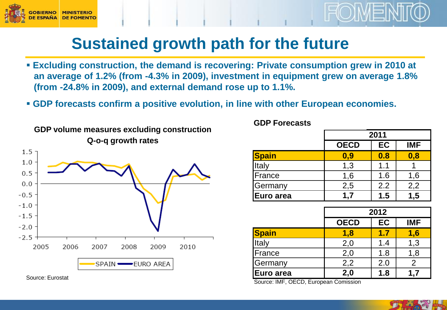



#### **Sustained growth path for the future**

- **Excluding construction, the demand is recovering: Private consumption grew in 2010 at an average of 1.2% (from -4.3% in 2009), investment in equipment grew on average 1.8% (from -24.8% in 2009), and external demand rose up to 1.1%.**
- **GDP forecasts confirm a positive evolution, in line with other European economies.**



Source: Eurostat

**GDP Forecasts GDP Forecasts**

|                  | 2011        |     |            |
|------------------|-------------|-----|------------|
|                  | <b>OECD</b> | EC  | <b>IMF</b> |
| Spain            | 0,9         | 0.8 | 0,8        |
| Italy            | 1,3         | 1.1 |            |
| France           | 1,6         | 1.6 | 1,6        |
| Germany          | 2,5         | 2.2 | 2,2        |
| <b>Euro area</b> | 1.7         | 1.5 | 1,5        |

|               | 2012        |     |            |
|---------------|-------------|-----|------------|
|               | <b>OECD</b> | EC  | <b>IMF</b> |
| <b>Spain</b>  | 1,8         | 1.7 | 1,6        |
| Italy         | 2,0         | 1.4 | 1,3        |
| <b>France</b> | 2,0         | 1.8 | 1,8        |
| Germany       | 2,2         | 2.0 | 2          |
| Euro area     | 2,0         | 1.8 | 1.7        |

Source: IMF, OECD, European Comission

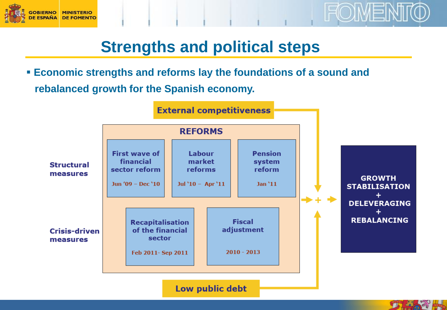



## **Strengths and political steps**

 **Economic strengths and reforms lay the foundations of a sound and rebalanced growth for the Spanish economy.**

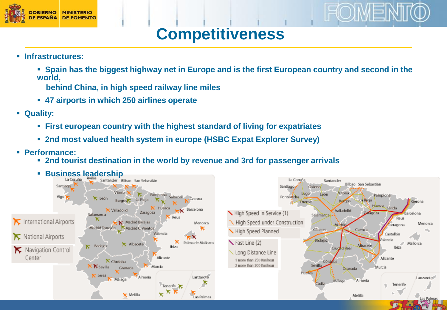

## **Competitiveness**

**HOIMEN** 

**Infrastructures:**

 **Spain has the biggest highway net in Europe and is the first European country and second in the world,** 

**behind China, in high speed railway line miles** 

- **47 airports in which 250 airlines operate**
- **Quality:**
	- **First european country with the highest standard of living for expatriates**
	- **2nd most valued health system in europe (HSBC Expat Explorer Survey)**
- **Performance:**
	- **2nd tourist destination in the world by revenue and 3rd for passenger arrivals**

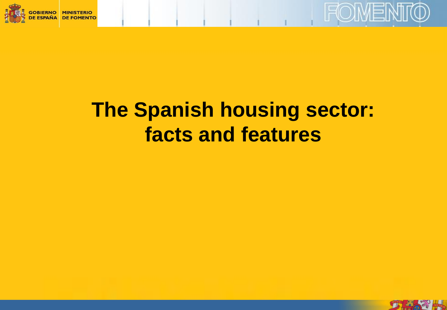



# **The Spanish housing sector: facts and features**

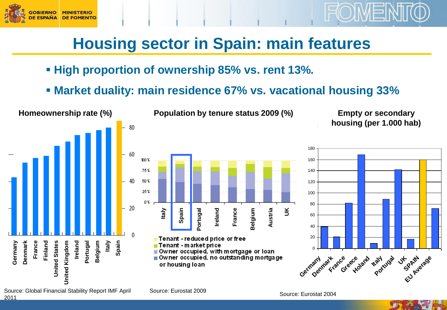

## **Housing sector in Spain: main features**

- **High proportion of ownership 85% vs. rent 13%.**
- **Market duality: main residence 67% vs. vacational housing 33%**



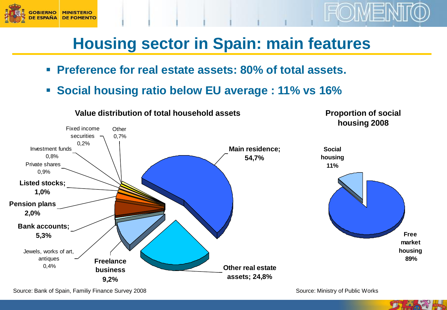

#### **Housing sector in Spain: main features**

- **Preference for real estate assets: 80% of total assets.**
- **Social housing ratio below EU average : 11% vs 16%**



Source: Bank of Spain, Familiy Finance Survey 2008 Source: Ministry of Public Works

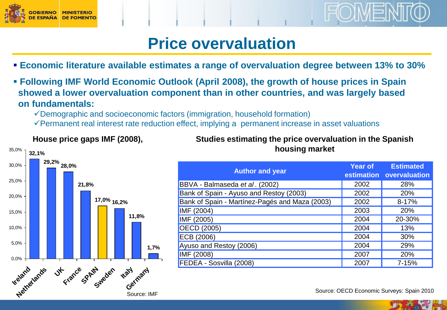

#### **Price overvaluation**

- **Economic literature available estimates a range of overvaluation degree between 13% to 30%**
- **Following IMF World Economic Outlook (April 2008), the growth of house prices in Spain showed a lower overvaluation component than in other countries, and was largely based on fundamentals:** 
	- Demographic and socioeconomic factors (immigration, household formation)
	- $\checkmark$  Permanent real interest rate reduction effect, implying a permanent increase in asset valuations



#### **Studies estimating the price overvaluation in the Spanish housing market**

| <b>Author and year</b>                         | Year of | <b>Estimated</b><br>estimation overvaluation |
|------------------------------------------------|---------|----------------------------------------------|
| BBVA - Balmaseda et al. (2002)                 | 2002    | 28%                                          |
| Bank of Spain - Ayuso and Restoy (2003)        | 2002    | 20%                                          |
| Bank of Spain - Martínez-Pagés and Maza (2003) | 2002    | $8 - 17%$                                    |
| IMF (2004)                                     | 2003    | 20%                                          |
| IMF (2005)                                     | 2004    | 20-30%                                       |
| OECD (2005)                                    | 2004    | 13%                                          |
| ECB (2006)                                     | 2004    | 30%                                          |
| Ayuso and Restoy (2006)                        | 2004    | 29%                                          |
| IMF (2008)                                     | 2007    | 20%                                          |
| FEDEA - Sosvilla (2008)                        | 2007    | 7-15%                                        |

Source: OECD Economic Surveys: Spain 2010

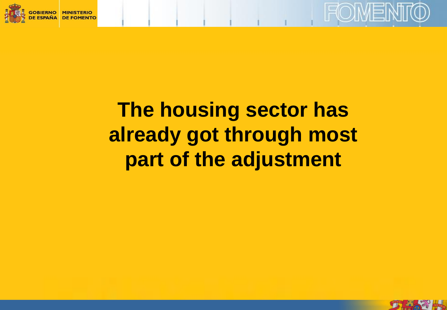



# **The housing sector has already got through most part of the adjustment**

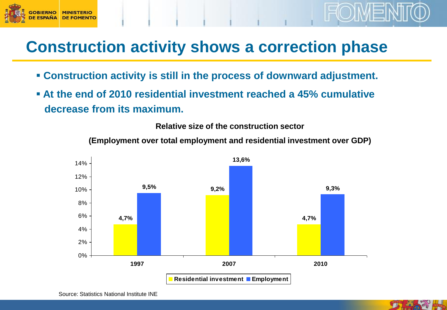

#### **Construction activity shows a correction phase**

- **Construction activity is still in the process of downward adjustment.**
- **At the end of 2010 residential investment reached a 45% cumulative decrease from its maximum.**



**(Employment over total employment and residential investment over GDP)**

**Relative size of the construction sector**

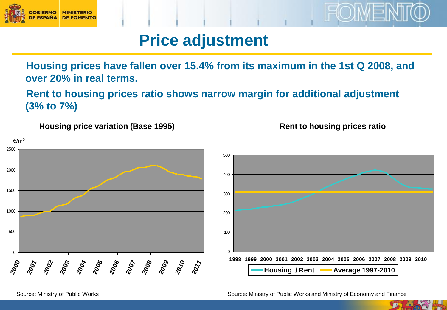

#### **Price adjustment**

**Housing prices have fallen over 15.4% from its maximum in the 1st Q 2008, and over 20% in real terms.** 

**Rent to housing prices ratio shows narrow margin for additional adjustment (3% to 7%)**

**Housing price variation (Base 1995) Housing price variation (Base 1995)**



Source: Ministry of Public Works Source: Ministry of Public Works and Ministry of Economy and Finance

**Rent to housing prices ratio**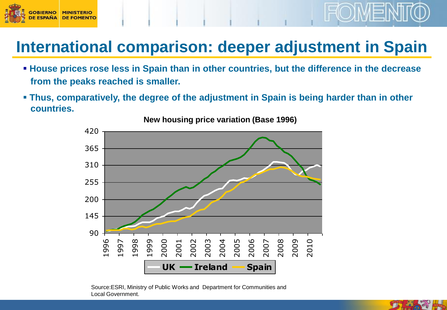

## **International comparison: deeper adjustment in Spain**

- **House prices rose less in Spain than in other countries, but the difference in the decrease from the peaks reached is smaller.**
- **Thus, comparatively, the degree of the adjustment in Spain is being harder than in other countries.**



**New housing price variation (Base 1996)**

Source:ESRI, Ministry of Public Works and Department for Communities and Local Government.

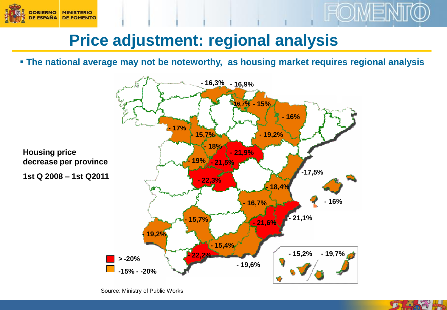



**The national average may not be noteworthy, as housing market requires regional analysis**



Source: Ministry of Public Works



FOIMEN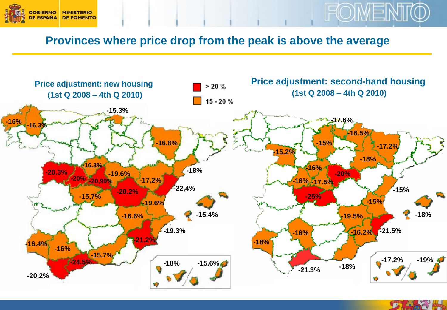



#### **Provinces where price drop from the peak is above the average**



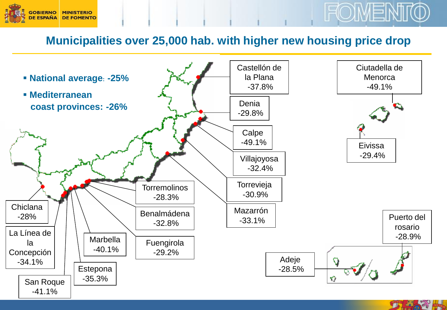

#### **Municipalities over 25,000 hab. with higher new housing price drop**

FOIMEI

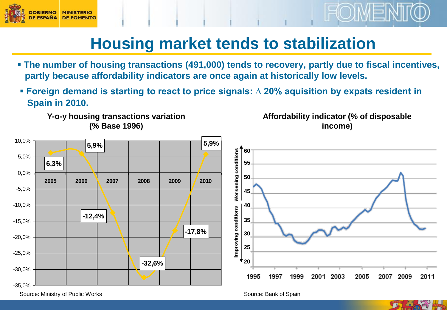



#### **Housing market tends to stabilization**

- **The number of housing transactions (491,000) tends to recovery, partly due to fiscal incentives, partly because affordability indicators are once again at historically low levels.**
- **Foreign demand is starting to react to price signals: ∆ 20% aquisition by expats resident in Spain in 2010.**

**% y-o-y housing transaction variation Y-o-y housing transactions variation 2004-2010 (% Base 1996)**

**Affordability indicator (% of disposable income)**



Source: Ministry of Public Works

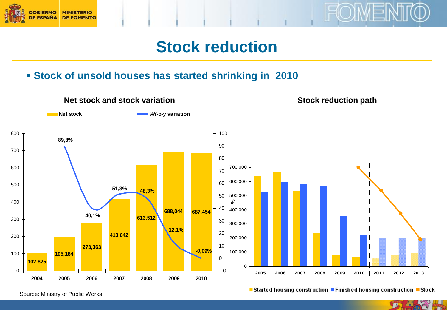



#### **Stock of unsold houses has started shrinking in 2010**



Source: Ministry of Public Works

**Started housing construction Finished housing construction**

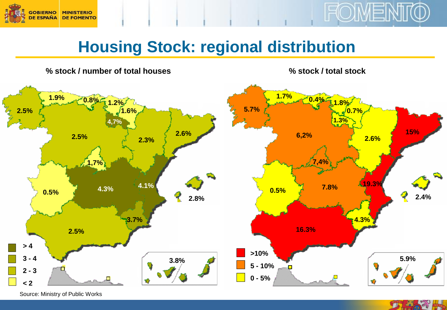



## **Housing Stock: regional distribution**

**% stock / number of total houses % stock / total stock**



Source: Ministry of Public Works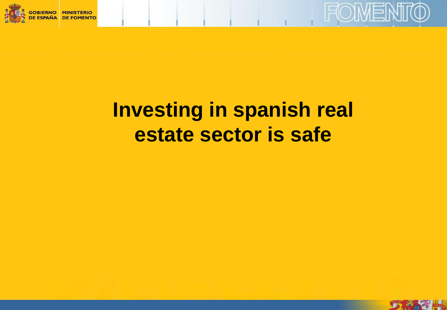



# **Investing in spanish real estate sector is safe**

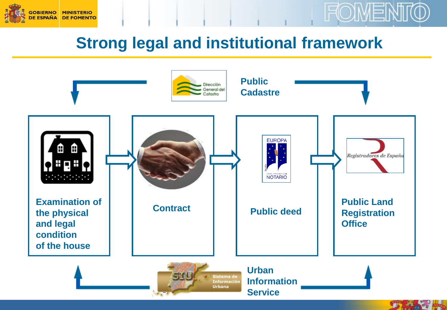



#### **Strong legal and institutional framework**

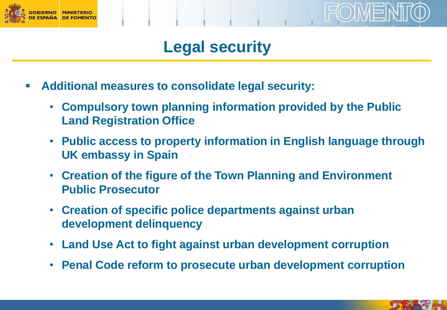

#### **Legal security**

- **Additional measures to consolidate legal security:**
	- **Compulsory town planning information provided by the Public Land Registration Office**
	- **Public access to property information in English language through UK embassy in Spain**
	- **Creation of the figure of the Town Planning and Environment Public Prosecutor**
	- **Creation of specific police departments against urban development delinquency**
	- **Land Use Act to fight against urban development corruption**
	- **Penal Code reform to prosecute urban development corruption**